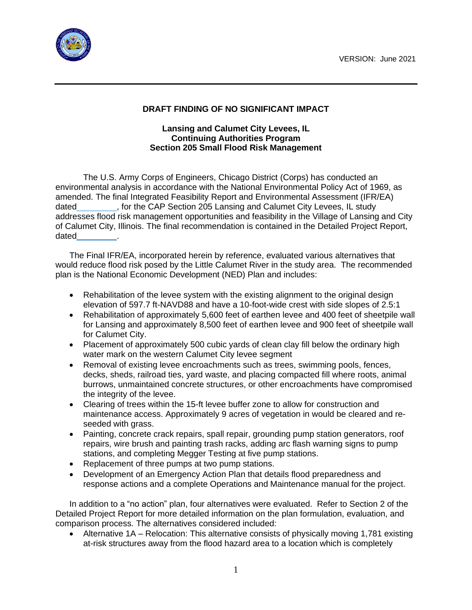

## **DRAFT FINDING OF NO SIGNIFICANT IMPACT**

## **Lansing and Calumet City Levees, IL Continuing Authorities Program Section 205 Small Flood Risk Management**

The U.S. Army Corps of Engineers, Chicago District (Corps) has conducted an environmental analysis in accordance with the National Environmental Policy Act of 1969, as amended. The final Integrated Feasibility Report and Environmental Assessment (IFR/EA) dated , for the CAP Section 205 Lansing and Calumet City Levees, IL study addresses flood risk management opportunities and feasibility in the Village of Lansing and City of Calumet City, Illinois. The final recommendation is contained in the Detailed Project Report, dated

The Final IFR/EA, incorporated herein by reference, evaluated various alternatives that would reduce flood risk posed by the Little Calumet River in the study area. The recommended plan is the National Economic Development (NED) Plan and includes:

- Rehabilitation of the levee system with the existing alignment to the original design elevation of 597.7 ft-NAVD88 and have a 10-foot-wide crest with side slopes of 2.5:1
- Rehabilitation of approximately 5,600 feet of earthen levee and 400 feet of sheetpile wall for Lansing and approximately 8,500 feet of earthen levee and 900 feet of sheetpile wall for Calumet City.
- Placement of approximately 500 cubic yards of clean clay fill below the ordinary high water mark on the western Calumet City levee segment
- Removal of existing levee encroachments such as trees, swimming pools, fences, decks, sheds, railroad ties, yard waste, and placing compacted fill where roots, animal burrows, unmaintained concrete structures, or other encroachments have compromised the integrity of the levee.
- Clearing of trees within the 15-ft levee buffer zone to allow for construction and maintenance access. Approximately 9 acres of vegetation in would be cleared and reseeded with grass.
- Painting, concrete crack repairs, spall repair, grounding pump station generators, roof repairs, wire brush and painting trash racks, adding arc flash warning signs to pump stations, and completing Megger Testing at five pump stations.
- Replacement of three pumps at two pump stations.
- Development of an Emergency Action Plan that details flood preparedness and response actions and a complete Operations and Maintenance manual for the project.

In addition to a "no action" plan, four alternatives were evaluated. Refer to Section 2 of the Detailed Project Report for more detailed information on the plan formulation, evaluation, and comparison process. The alternatives considered included:

• Alternative 1A – Relocation: This alternative consists of physically moving 1,781 existing at-risk structures away from the flood hazard area to a location which is completely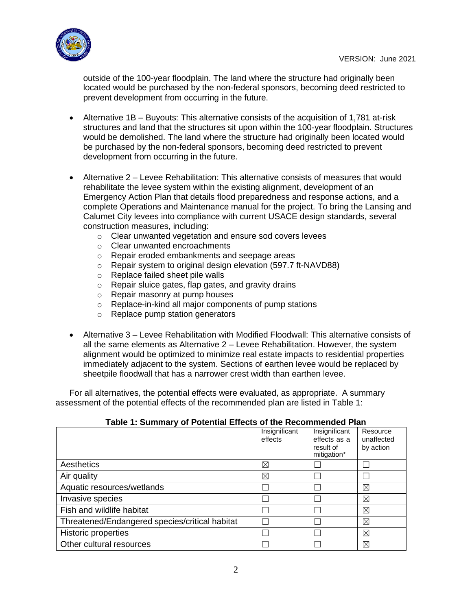

outside of the 100-year floodplain. The land where the structure had originally been located would be purchased by the non-federal sponsors, becoming deed restricted to prevent development from occurring in the future.

- Alternative 1B Buyouts: This alternative consists of the acquisition of 1,781 at-risk structures and land that the structures sit upon within the 100-year floodplain. Structures would be demolished. The land where the structure had originally been located would be purchased by the non-federal sponsors, becoming deed restricted to prevent development from occurring in the future.
- Alternative 2 Levee Rehabilitation: This alternative consists of measures that would rehabilitate the levee system within the existing alignment, development of an Emergency Action Plan that details flood preparedness and response actions, and a complete Operations and Maintenance manual for the project. To bring the Lansing and Calumet City levees into compliance with current USACE design standards, several construction measures, including:
	- o Clear unwanted vegetation and ensure sod covers levees
	- o Clear unwanted encroachments
	- o Repair eroded embankments and seepage areas
	- o Repair system to original design elevation (597.7 ft-NAVD88)
	- o Replace failed sheet pile walls
	- o Repair sluice gates, flap gates, and gravity drains
	- o Repair masonry at pump houses
	- o Replace-in-kind all major components of pump stations
	- o Replace pump station generators
- Alternative 3 Levee Rehabilitation with Modified Floodwall: This alternative consists of all the same elements as Alternative 2 – Levee Rehabilitation. However, the system alignment would be optimized to minimize real estate impacts to residential properties immediately adjacent to the system. Sections of earthen levee would be replaced by sheetpile floodwall that has a narrower crest width than earthen levee.

For all alternatives, the potential effects were evaluated, as appropriate. A summary assessment of the potential effects of the recommended plan are listed in Table 1:

## **Table 1: Summary of Potential Effects of the Recommended Plan**

|                                                | Insignificant<br>effects | Insignificant<br>effects as a<br>result of<br>mitigation* | Resource<br>unaffected<br>by action |
|------------------------------------------------|--------------------------|-----------------------------------------------------------|-------------------------------------|
| Aesthetics                                     | $\boxtimes$              |                                                           |                                     |
| Air quality                                    | ⊠                        |                                                           |                                     |
| Aquatic resources/wetlands                     |                          |                                                           | ⊠                                   |
| Invasive species                               |                          |                                                           | ⊠                                   |
| Fish and wildlife habitat                      |                          |                                                           | ⊠                                   |
| Threatened/Endangered species/critical habitat |                          |                                                           | ⊠                                   |
| <b>Historic properties</b>                     |                          |                                                           | ⊠                                   |
| Other cultural resources                       |                          |                                                           | ⊠                                   |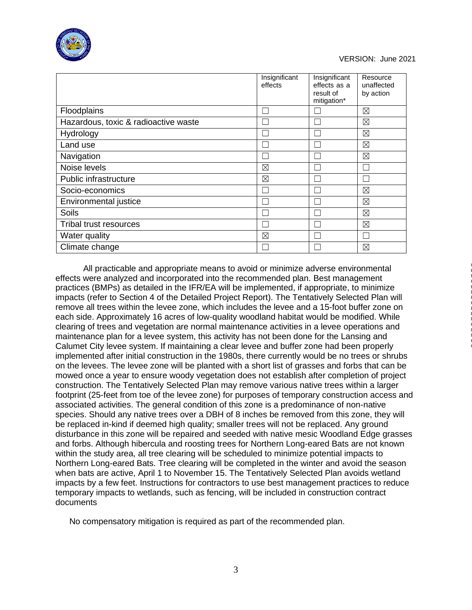

## VERSION: June 2021

|                                      | Insignificant<br>effects | Insignificant<br>effects as a<br>result of<br>mitigation* | Resource<br>unaffected<br>by action |
|--------------------------------------|--------------------------|-----------------------------------------------------------|-------------------------------------|
| Floodplains                          |                          |                                                           | $\boxtimes$                         |
| Hazardous, toxic & radioactive waste |                          |                                                           | ⊠                                   |
| Hydrology                            |                          |                                                           | $\boxtimes$                         |
| Land use                             |                          |                                                           | $\boxtimes$                         |
| Navigation                           |                          |                                                           | $\boxtimes$                         |
| Noise levels                         | $\boxtimes$              |                                                           |                                     |
| Public infrastructure                | $\boxtimes$              |                                                           |                                     |
| Socio-economics                      |                          |                                                           | $\boxtimes$                         |
| Environmental justice                |                          |                                                           | $\boxtimes$                         |
| <b>Soils</b>                         |                          |                                                           | $\boxtimes$                         |
| Tribal trust resources               |                          |                                                           | $\boxtimes$                         |
| Water quality                        | ⊠                        |                                                           |                                     |
| Climate change                       |                          |                                                           | ⊠                                   |

All practicable and appropriate means to avoid or minimize adverse environmental effects were analyzed and incorporated into the recommended plan. Best management practices (BMPs) as detailed in the IFR/EA will be implemented, if appropriate, to minimize impacts (refer to Section 4 of the Detailed Project Report). The Tentatively Selected Plan will remove all trees within the levee zone, which includes the levee and a 15-foot buffer zone on each side. Approximately 16 acres of low-quality woodland habitat would be modified. While clearing of trees and vegetation are normal maintenance activities in a levee operations and maintenance plan for a levee system, this activity has not been done for the Lansing and Calumet City levee system. If maintaining a clear levee and buffer zone had been properly implemented after initial construction in the 1980s, there currently would be no trees or shrubs on the levees. The levee zone will be planted with a short list of grasses and forbs that can be mowed once a year to ensure woody vegetation does not establish after completion of project construction. The Tentatively Selected Plan may remove various native trees within a larger footprint (25-feet from toe of the levee zone) for purposes of temporary construction access and associated activities. The general condition of this zone is a predominance of non-native species. Should any native trees over a DBH of 8 inches be removed from this zone, they will be replaced in-kind if deemed high quality; smaller trees will not be replaced. Any ground disturbance in this zone will be repaired and seeded with native mesic Woodland Edge grasses and forbs. Although hibercula and roosting trees for Northern Long-eared Bats are not known within the study area, all tree clearing will be scheduled to minimize potential impacts to Northern Long-eared Bats. Tree clearing will be completed in the winter and avoid the season when bats are active, April 1 to November 15. The Tentatively Selected Plan avoids wetland impacts by a few feet. Instructions for contractors to use best management practices to reduce temporary impacts to wetlands, such as fencing, will be included in construction contract documents

No compensatory mitigation is required as part of the recommended plan.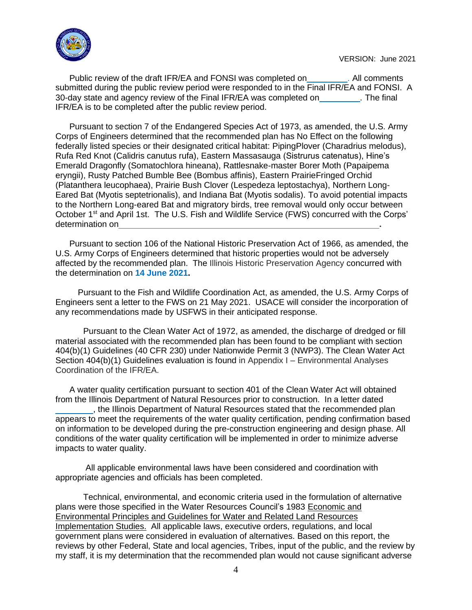

Public review of the draft IFR/EA and FONSI was completed on **Network** All comments submitted during the public review period were responded to in the Final IFR/EA and FONSI. A 30-day state and agency review of the Final IFR/EA was completed on . The final IFR/EA is to be completed after the public review period.

Pursuant to section 7 of the Endangered Species Act of 1973, as amended, the U.S. Army Corps of Engineers determined that the recommended plan has No Effect on the following federally listed species or their designated critical habitat: PipingPlover (Charadrius melodus), Rufa Red Knot (Calidris canutus rufa), Eastern Massasauga (Sistrurus catenatus), Hine's Emerald Dragonfly (Somatochlora hineana), Rattlesnake-master Borer Moth (Papaipema eryngii), Rusty Patched Bumble Bee (Bombus affinis), Eastern PrairieFringed Orchid (Platanthera leucophaea), Prairie Bush Clover (Lespedeza leptostachya), Northern Long-Eared Bat (Myotis septetrionalis), and Indiana Bat (Myotis sodalis). To avoid potential impacts to the Northern Long-eared Bat and migratory birds, tree removal would only occur between October 1<sup>st</sup> and April 1st. The U.S. Fish and Wildlife Service (FWS) concurred with the Corps' determination on **.**

Pursuant to section 106 of the National Historic Preservation Act of 1966, as amended, the U.S. Army Corps of Engineers determined that historic properties would not be adversely affected by the recommended plan. The Illinois Historic Preservation Agency concurred with the determination on **14 June 2021.**

Pursuant to the Fish and Wildlife Coordination Act, as amended, the U.S. Army Corps of Engineers sent a letter to the FWS on 21 May 2021. USACE will consider the incorporation of any recommendations made by USFWS in their anticipated response.

Pursuant to the Clean Water Act of 1972, as amended, the discharge of dredged or fill material associated with the recommended plan has been found to be compliant with section 404(b)(1) Guidelines (40 CFR 230) under Nationwide Permit 3 (NWP3). The Clean Water Act Section 404(b)(1) Guidelines evaluation is found in Appendix I – Environmental Analyses Coordination of the IFR/EA.

A water quality certification pursuant to section 401 of the Clean Water Act will obtained from the Illinois Department of Natural Resources prior to construction. In a letter dated , the Illinois Department of Natural Resources stated that the recommended plan appears to meet the requirements of the water quality certification, pending confirmation based on information to be developed during the pre-construction engineering and design phase. All conditions of the water quality certification will be implemented in order to minimize adverse impacts to water quality.

All applicable environmental laws have been considered and coordination with appropriate agencies and officials has been completed.

Technical, environmental, and economic criteria used in the formulation of alternative plans were those specified in the Water Resources Council's 1983 Economic and Environmental Principles and Guidelines for Water and Related Land Resources Implementation Studies. All applicable laws, executive orders, regulations, and local government plans were considered in evaluation of alternatives. Based on this report, the reviews by other Federal, State and local agencies, Tribes, input of the public, and the review by my staff, it is my determination that the recommended plan would not cause significant adverse